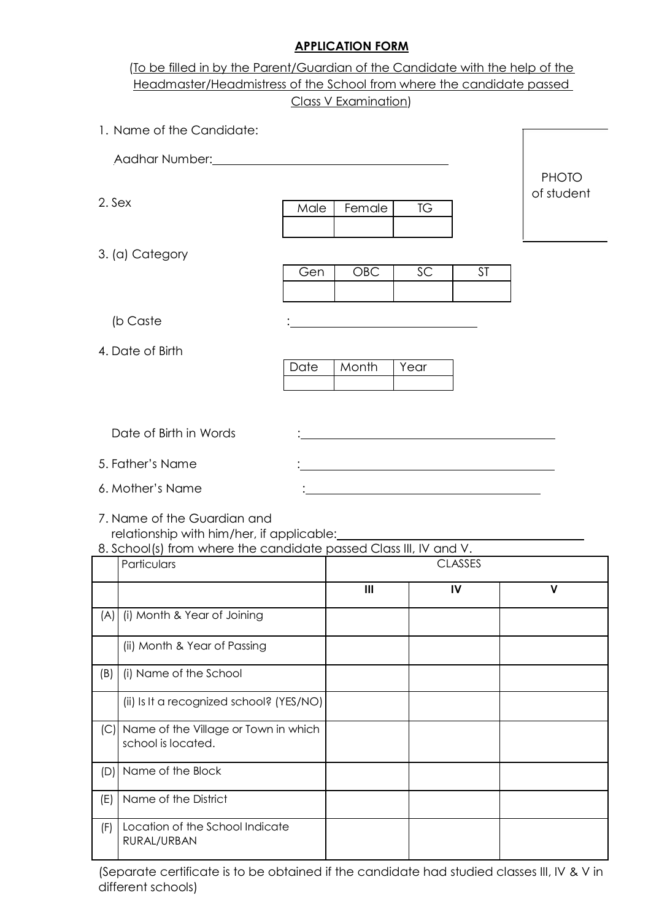### **APPLICATION FORM**

|        | To be filled in by the Parent/Guardian of the Candidate with the help of the<br>Headmaster/Headmistress of the School from where the candidate passed                                                                               |      |                      |           |                |              |
|--------|-------------------------------------------------------------------------------------------------------------------------------------------------------------------------------------------------------------------------------------|------|----------------------|-----------|----------------|--------------|
|        |                                                                                                                                                                                                                                     |      | Class V Examination) |           |                |              |
|        | 1. Name of the Candidate:                                                                                                                                                                                                           |      |                      |           |                |              |
|        | Aadhar Number: <u>2000 - 2000 - 2010</u> - 2010 - 2020 - 2020 - 2020 - 2020 - 2020 - 2020 - 2020 - 2020 - 2020 - 2020 - 2020 - 2020 - 2020 - 2020 - 2020 - 2020 - 2020 - 2020 - 2020 - 2020 - 2020 - 2020 - 2020 - 2020 - 2020 - 20 |      |                      |           |                |              |
|        |                                                                                                                                                                                                                                     |      |                      |           |                | <b>PHOTO</b> |
| 2. Sex |                                                                                                                                                                                                                                     | Male | Female               | <b>TG</b> |                | of student   |
|        |                                                                                                                                                                                                                                     |      |                      |           |                |              |
|        | 3. (a) Category                                                                                                                                                                                                                     |      |                      |           |                |              |
|        |                                                                                                                                                                                                                                     | Gen  | <b>OBC</b>           | SC        | <b>ST</b>      |              |
|        |                                                                                                                                                                                                                                     |      |                      |           |                |              |
|        | (b Caste                                                                                                                                                                                                                            |      |                      |           |                |              |
|        | 4. Date of Birth                                                                                                                                                                                                                    |      | Month                |           |                |              |
|        |                                                                                                                                                                                                                                     | Date |                      | Year      |                |              |
|        |                                                                                                                                                                                                                                     |      |                      |           |                |              |
|        | Date of Birth in Words                                                                                                                                                                                                              |      |                      |           |                |              |
|        | 5. Father's Name                                                                                                                                                                                                                    |      |                      |           |                |              |
|        | 6. Mother's Name                                                                                                                                                                                                                    |      |                      |           |                |              |
|        | 7. Name of the Guardian and                                                                                                                                                                                                         |      |                      |           |                |              |
|        | relationship with him/her, if applicable:<br>8. School(s) from where the candidate passed Class III, IV and V.                                                                                                                      |      |                      |           |                |              |
|        | Particulars                                                                                                                                                                                                                         |      |                      |           | <b>CLASSES</b> |              |
|        |                                                                                                                                                                                                                                     |      | Ш                    |           | IV             | V            |
| (A)    | (i) Month & Year of Joining                                                                                                                                                                                                         |      |                      |           |                |              |
|        | (ii) Month & Year of Passing                                                                                                                                                                                                        |      |                      |           |                |              |
| (B)    | (i) Name of the School                                                                                                                                                                                                              |      |                      |           |                |              |
|        | (ii) Is It a recognized school? (YES/NO)                                                                                                                                                                                            |      |                      |           |                |              |
| (C)    | Name of the Village or Town in which<br>school is located.                                                                                                                                                                          |      |                      |           |                |              |
| (D)    | Name of the Block                                                                                                                                                                                                                   |      |                      |           |                |              |
| (E)    | Name of the District                                                                                                                                                                                                                |      |                      |           |                |              |
| (F)    | Location of the School Indicate<br>RURAL/URBAN                                                                                                                                                                                      |      |                      |           |                |              |

(Separate certificate is to be obtained if the candidate had studied classes III, IV & V in different schools)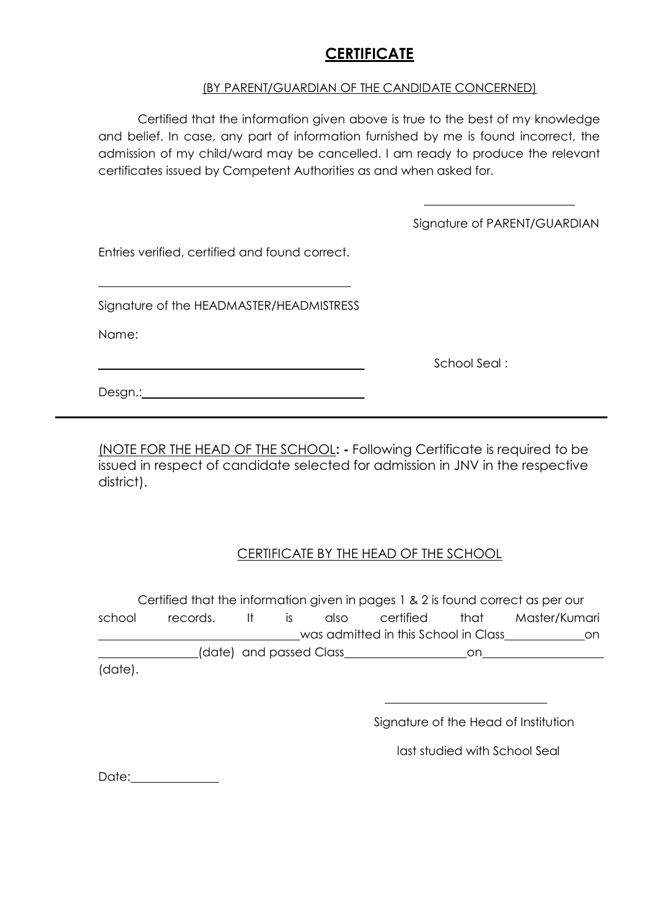## **CERTIFICATE**

#### (BY PARENT/GUARDIAN OF THE CANDIDATE CONCERNED)

Certified that the information given above is true to the best of my knowledge and belief. In case, any part of information furnished by me is found incorrect, the admission of my child/ward may be cancelled. I am ready to produce the relevant certificates issued by Competent Authorities as and when asked for.

Signature of PARENT/GUARDIAN

Entries verified, certified and found correct.

Signature of the HEADMASTER/HEADMISTRESS

Name:

School Seal :

Desgn.: Network and the settlement of the settlement of the settlement of the settlement of the settlement of the settlement of the settlement of the settlement of the settlement of the settlement of the settlement of the

(NOTE FOR THE HEAD OF THE SCHOOL**: -** Following Certificate is required to be issued in respect of candidate selected for admission in JNV in the respective district).

### CERTIFICATE BY THE HEAD OF THE SCHOOL

Certified that the information given in pages 1 & 2 is found correct as per our school records. It is also certified that Master/Kumari was admitted in this School in Class on (date) and passed Class on (date).

Signature of the Head of Institution

last studied with School Seal

Date: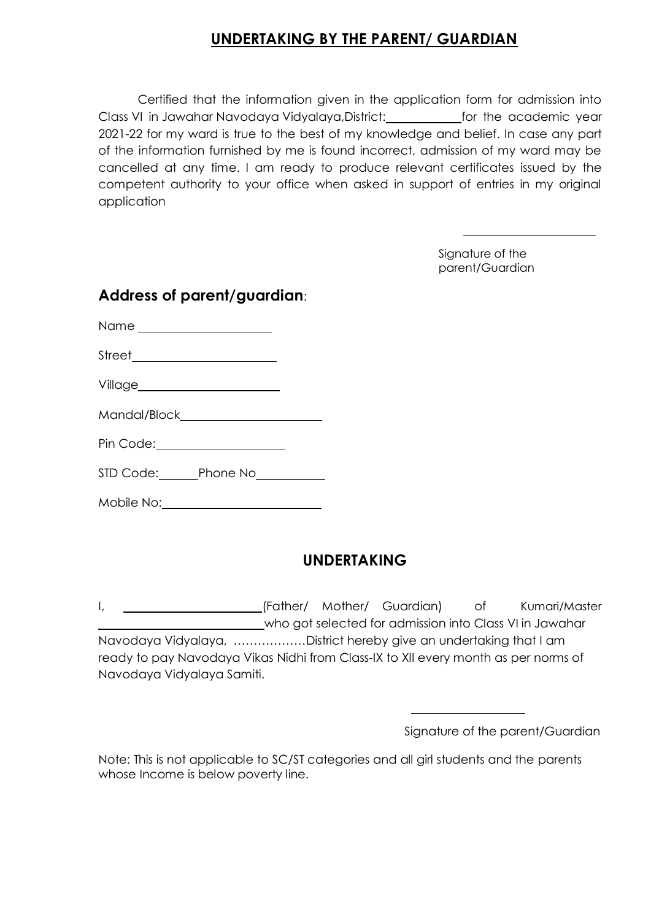# **UNDERTAKING BY THE PARENT/ GUARDIAN**

Certified that the information given in the application form for admission into Class VI in Jawahar Navodaya Vidyalaya, District: *for the academic year* 2021-22 for my ward is true to the best of my knowledge and belief. In case any part of the information furnished by me is found incorrect, admission of my ward may be cancelled at any time. I am ready to produce relevant certificates issued by the competent authority to your office when asked in support of entries in my original application

> Signature of the parent/Guardian

| Address of parent/guardian:         |  |  |  |  |  |  |
|-------------------------------------|--|--|--|--|--|--|
|                                     |  |  |  |  |  |  |
|                                     |  |  |  |  |  |  |
|                                     |  |  |  |  |  |  |
|                                     |  |  |  |  |  |  |
| Pin Code: ____________________      |  |  |  |  |  |  |
| STD Code: Phone No<br>From Phone No |  |  |  |  |  |  |

Mobile No:

# **UNDERTAKING**

I, 1. Mother/ Mother/ Guardian) of Kumari/Master who got selected for admission into Class VI in Jawahar Navodaya Vidyalaya, ………………District hereby give an undertaking that I am ready to pay Navodaya Vikas Nidhi from Class-IX to XII every month as per norms of Navodaya Vidyalaya Samiti.

|  | Signature of the parent/Guardian |  |
|--|----------------------------------|--|
|--|----------------------------------|--|

Note: This is not applicable to SC/ST categories and all girl students and the parents whose Income is below poverty line.

### **Address of parent/guardian**: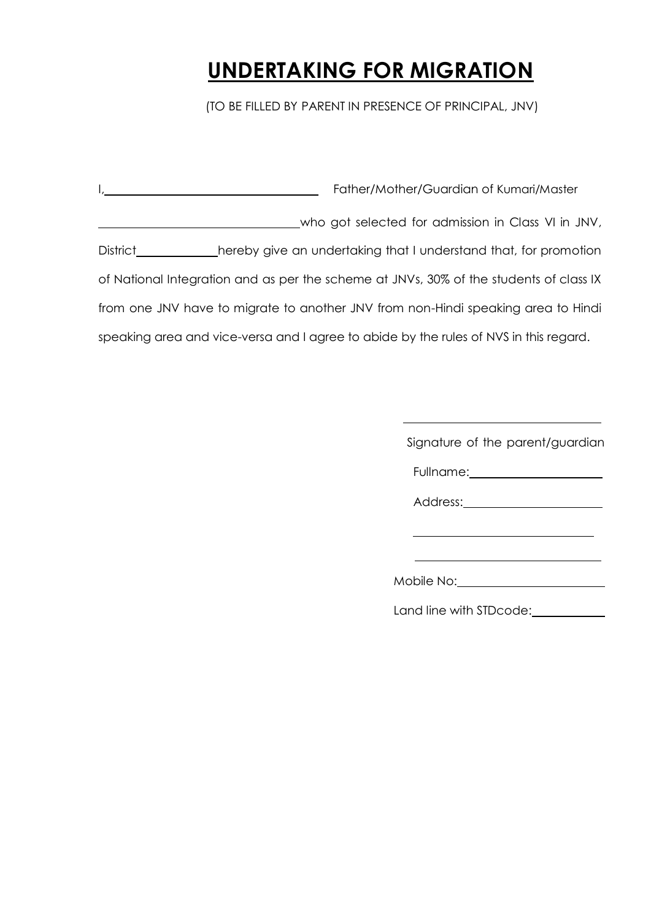# **UNDERTAKING FOR MIGRATION**

(TO BE FILLED BY PARENT IN PRESENCE OF PRINCIPAL, JNV)

|                 | Father/Mother/Guardian of Kumari/Master                                                |
|-----------------|----------------------------------------------------------------------------------------|
|                 | who got selected for admission in Class VI in JNV,                                     |
| <b>District</b> | hereby give an undertaking that I understand that, for promotion                       |
|                 | of National Integration and as per the scheme at JNVs, 30% of the students of class IX |
|                 | from one JNV have to migrate to another JNV from non-Hindi speaking area to Hindi      |
|                 | speaking area and vice-versa and I agree to abide by the rules of NVS in this regard.  |

Signature of the parent/guardian

Fullname:

Address:<br>
<u>Address:</u>

Mobile No:

Land line with STDcode: \_\_\_\_\_\_\_\_\_\_\_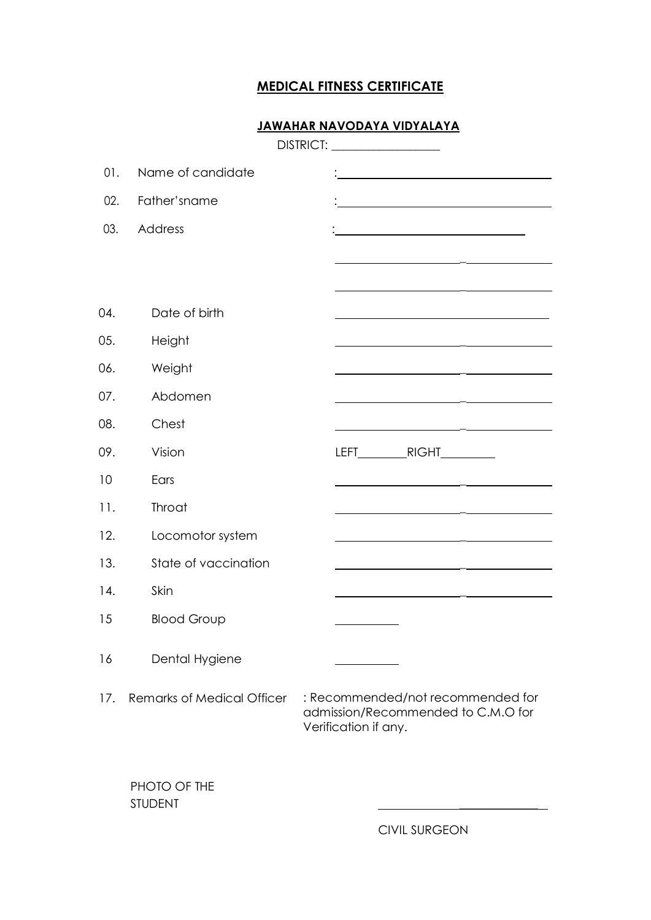### **MEDICAL FITNESS CERTIFICATE**

#### **JAWAHAR NAVODAYA VIDYALAYA**

|     |                                   | DISTRICT: ___________________                                                                                         |
|-----|-----------------------------------|-----------------------------------------------------------------------------------------------------------------------|
| 01. | Name of candidate                 | <u> 1980 - Johann Barn, mars eta bainar eta bat zen erroman erroman erroman ez erroman ez erroman ez erroman ez e</u> |
| 02. | Father'sname                      |                                                                                                                       |
| 03. | Address                           |                                                                                                                       |
|     |                                   |                                                                                                                       |
|     |                                   |                                                                                                                       |
| 04. | Date of birth                     |                                                                                                                       |
| 05. | Height                            |                                                                                                                       |
| 06. | Weight                            | <u> 1980 - John Barnett, fransk konge og det for de forskellige og det forskellige og det forskellige og det fors</u> |
| 07. | Abdomen                           | <u> 1989 - Jan Sterling von Berger von Berger von Berger von Berger von Berger von Berger von Berger von Berger</u>   |
| 08. | Chest                             | <u> 1980 - Johann Barbara, martin amerikan basar da</u>                                                               |
| 09. | Vision                            |                                                                                                                       |
| 10  | Ears                              | <u> 1980 - John Stein, Amerikaansk politiker (</u>                                                                    |
| 11. | Throat                            |                                                                                                                       |
| 12. | Locomotor system                  | <u> 1980 - Johann Barbara, martxa alemaniar a</u>                                                                     |
| 13. | State of vaccination              |                                                                                                                       |
| 14. | Skin                              |                                                                                                                       |
| 15  | <b>Blood Group</b>                |                                                                                                                       |
| 16  | Dental Hygiene                    |                                                                                                                       |
| 17. | <b>Remarks of Medical Officer</b> | : Recommended/not recommended for<br>admission/Recommended to C.M.O for<br>Verification if any.                       |
|     | PHOTO OF THE<br><b>STUDENT</b>    |                                                                                                                       |

CIVIL SURGEON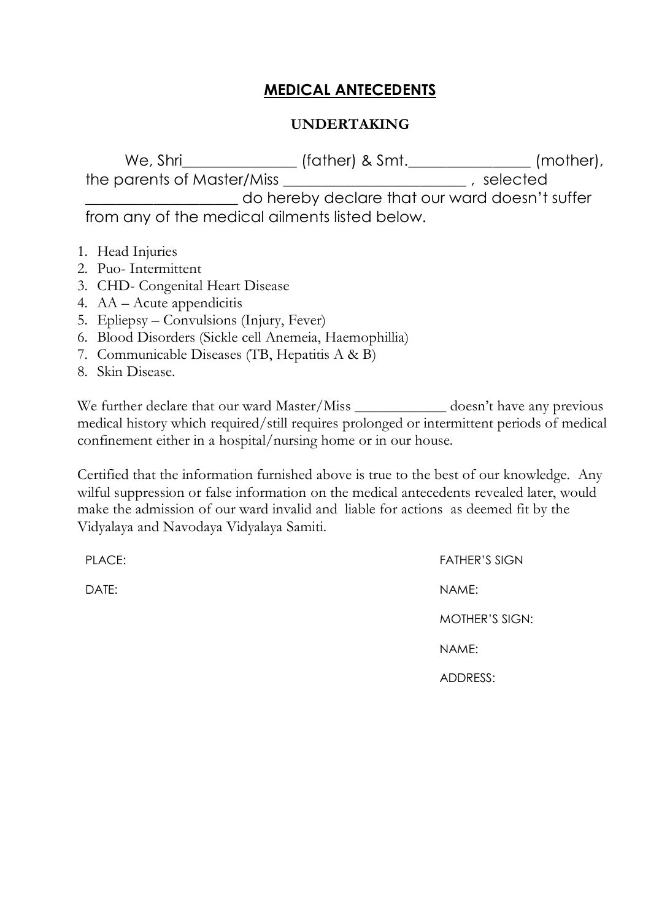# **MEDICAL ANTECEDENTS**

### **UNDERTAKING**

We, Shri\_\_\_\_\_\_\_\_\_\_\_\_\_\_\_ (father) & Smt.\_\_\_\_\_\_\_\_\_\_\_\_\_\_\_\_ (mother), the parents of Master/Miss  $\overline{\phantom{a}}$  , selected do hereby declare that our ward doesn't suffer from any of the medical ailments listed below.

- 1. Head Injuries
- 2. Puo- Intermittent
- 3. CHD- Congenital Heart Disease
- 4. AA Acute appendicitis
- 5. Epliepsy Convulsions (Injury, Fever)
- 6. Blood Disorders (Sickle cell Anemeia, Haemophillia)
- 7. Communicable Diseases (TB, Hepatitis A & B)
- 8. Skin Disease.

We further declare that our ward Master/Miss \_\_\_\_\_\_\_\_\_\_\_\_\_ doesn't have any previous medical history which required/still requires prolonged or intermittent periods of medical confinement either in a hospital/nursing home or in our house.

Certified that the information furnished above is true to the best of our knowledge. Any wilful suppression or false information on the medical antecedents revealed later, would make the admission of our ward invalid and liable for actions as deemed fit by the Vidyalaya and Navodaya Vidyalaya Samiti.

| PLACE: | <b>FATHER'S SIGN</b>  |
|--------|-----------------------|
| DATE:  | NAME:                 |
|        | <b>MOTHER'S SIGN:</b> |
|        | NAME:                 |
|        | ADDRESS:              |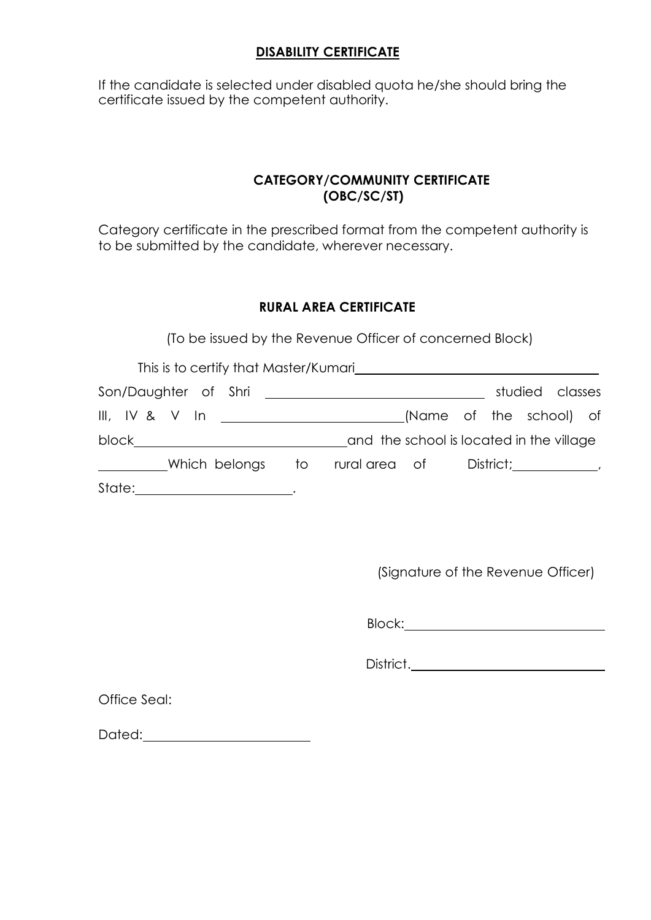### **DISABILITY CERTIFICATE**

If the candidate is selected under disabled quota he/she should bring the certificate issued by the competent authority.

### **CATEGORY/COMMUNITY CERTIFICATE (OBC/SC/ST)**

Category certificate in the prescribed format from the competent authority is to be submitted by the candidate, wherever necessary.

### **RURAL AREA CERTIFICATE**

(To be issued by the Revenue Officer of concerned Block)

| This is to certify that Master/Kumari                                                           |                                          |                         |                                     |                 |  |
|-------------------------------------------------------------------------------------------------|------------------------------------------|-------------------------|-------------------------------------|-----------------|--|
|                                                                                                 |                                          |                         |                                     | studied classes |  |
| III, IV & V In ______________________                                                           |                                          | (Name of the school) of |                                     |                 |  |
| block___________________________                                                                | and the school is located in the village |                         |                                     |                 |  |
| Which belongs to rural area of<br>$\mathcal{L}^{\text{max}}$ , where $\mathcal{L}^{\text{max}}$ |                                          |                         | $Distribt$ ; $\qquad \qquad \qquad$ |                 |  |
| State:                                                                                          |                                          |                         |                                     |                 |  |

(Signature of the Revenue Officer)

Block:

District.

Office Seal:

Dated: when the contract of the contract of the contract of the contract of the contract of the contract of the contract of the contract of the contract of the contract of the contract of the contract of the contract of th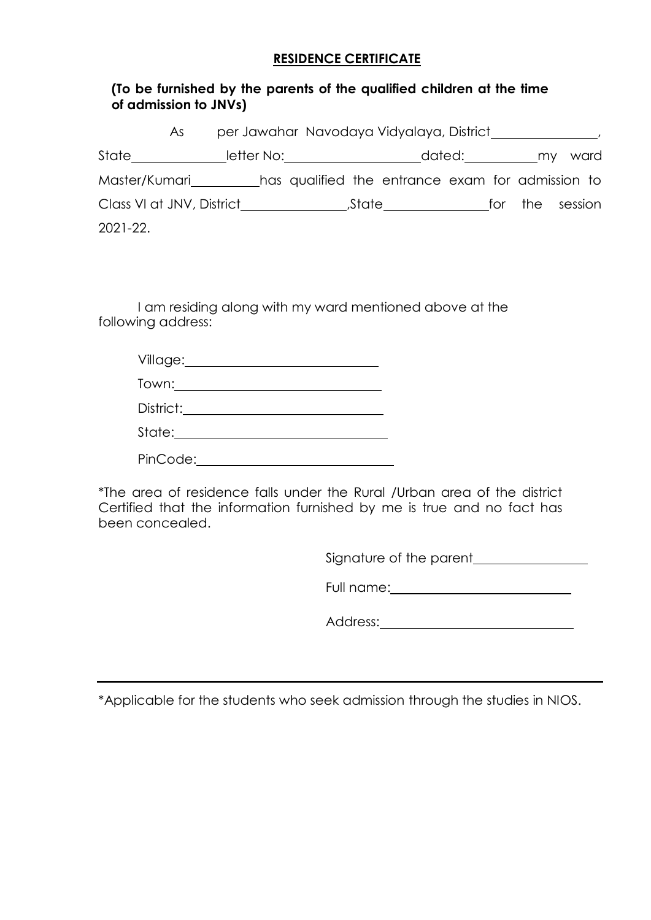#### **RESIDENCE CERTIFICATE**

#### **(To be furnished by the parents of the qualified children at the time of admission to JNVs)**

|                                                                | As: |                              | per Jawahar Navodaya Vidyalaya, District and March 1997                                                       |  |                           |  |
|----------------------------------------------------------------|-----|------------------------------|---------------------------------------------------------------------------------------------------------------|--|---------------------------|--|
| State                                                          |     | letter No:__________________ |                                                                                                               |  | dated:____________my ward |  |
| Master/Kumari has qualified the entrance exam for admission to |     |                              |                                                                                                               |  |                           |  |
| Class VI at JNV, District                                      |     |                              | State in the state of the state of the state of the state of the state of the state of the state of the state |  | for the session           |  |
| 2021-22.                                                       |     |                              |                                                                                                               |  |                           |  |

I am residing along with my ward mentioned above at the following address:

| Village:  |  |
|-----------|--|
| Town:___  |  |
| District: |  |
| State:__  |  |
| PinCode:  |  |

\*The area of residence falls under the Rural /Urban area of the district Certified that the information furnished by me is true and no fact has been concealed.

Signature of the parent

Full name:

| Address: |  |
|----------|--|
|          |  |

\*Applicable for the students who seek admission through the studies in NIOS.